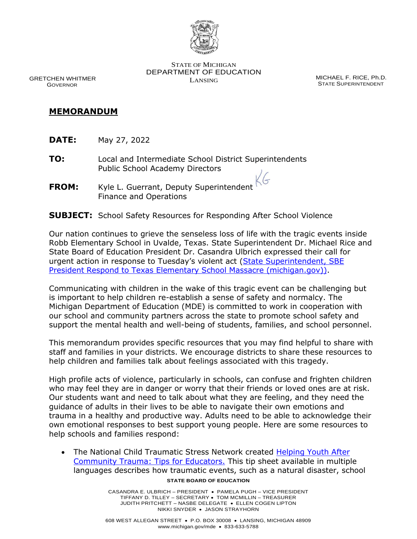

 GRETCHEN WHITMER GOVERNOR

STATE OF MICHIGAN DEPARTMENT OF EDUCATION LANSING MICHAEL F. RICE, Ph.D.

STATE SUPERINTENDENT

## **MEMORANDUM**

- **DATE:** May 27, 2022
- **TO:** Local and Intermediate School District Superintendents Public School Academy Directors
- **FROM:** Kyle L. Guerrant, Deputy Superintendent Finance and Operations

## **SUBJECT:** School Safety Resources for Responding After School Violence

Our nation continues to grieve the senseless loss of life with the tragic events inside Robb Elementary School in Uvalde, Texas. State Superintendent Dr. Michael Rice and State Board of Education President Dr. Casandra Ulbrich expressed their call for urgent action in response to Tuesday's violent act (State Superintendent, SBE [President Respond to Texas Elementary School Massacre \(michigan.gov\)\)](https://www.michigan.gov/mde/news-and-information/press-releases/2022/05/25/state-superintendent-sbe-president-respond-to-texas-elementary-school-massacre).

Communicating with children in the wake of this tragic event can be challenging but is important to help children re-establish a sense of safety and normalcy. The Michigan Department of Education (MDE) is committed to work in cooperation with our school and community partners across the state to promote school safety and support the mental health and well-being of students, families, and school personnel.

This memorandum provides specific resources that you may find helpful to share with staff and families in your districts. We encourage districts to share these resources to help children and families talk about feelings associated with this tragedy.

High profile acts of violence, particularly in schools, can confuse and frighten children who may feel they are in danger or worry that their friends or loved ones are at risk. Our students want and need to talk about what they are feeling, and they need the guidance of adults in their lives to be able to navigate their own emotions and trauma in a healthy and productive way. Adults need to be able to acknowledge their own emotional responses to best support young people. Here are some resources to help schools and families respond:

**STATE BOARD OF EDUCATION** • The National Child Traumatic Stress Network created [Helping Youth After](https://www.nctsn.org/resources/helping-youth-after-community-trauma-tips-educators)  [Community Trauma: Tips for Educators.](https://www.nctsn.org/resources/helping-youth-after-community-trauma-tips-educators) This tip sheet available in multiple languages describes how traumatic events, such as a natural disaster, school

> CASANDRA E. ULBRICH – PRESIDENT • PAMELA PUGH – VICE PRESIDENT TIFFANY D. TILLEY – SECRETARY • TOM MCMILLIN – TREASURER JUDITH PRITCHETT – NASBE DELEGATE • ELLEN COGEN LIPTON NIKKI SNYDER • JASON STRAYHORN